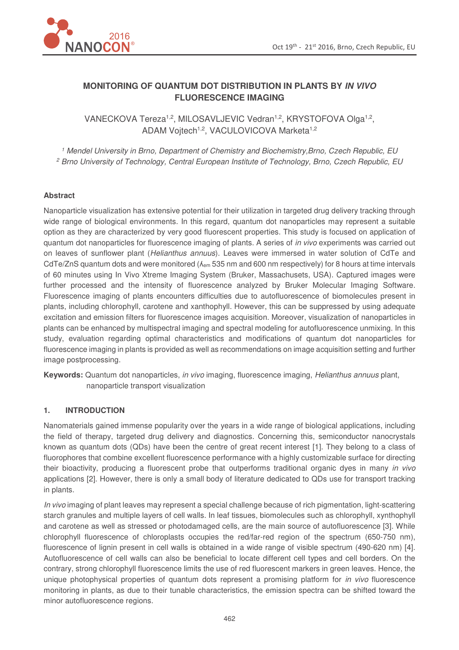

# **MONITORING OF QUANTUM DOT DISTRIBUTION IN PLANTS BY IN VIVO FLUORESCENCE IMAGING**

VANECKOVA Tereza<sup>1,2</sup>, MILOSAVLJEVIC Vedran<sup>1,2</sup>, KRYSTOFOVA Olga<sup>1,2</sup>, ADAM Vojtech<sup>1,2</sup>, VACULOVICOVA Marketa<sup>1,2</sup>

*1 Mendel University in Brno, Department of Chemistry and Biochemistry,Brno, Czech Republic, EU 2 Brno University of Technology, Central European Institute of Technology, Brno, Czech Republic, EU* 

#### **Abstract**

Nanoparticle visualization has extensive potential for their utilization in targeted drug delivery tracking through wide range of biological environments. In this regard, quantum dot nanoparticles may represent a suitable option as they are characterized by very good fluorescent properties. This study is focused on application of quantum dot nanoparticles for fluorescence imaging of plants. A series of *in vivo* experiments was carried out on leaves of sunflower plant (*Helianthus annuus*). Leaves were immersed in water solution of CdTe and CdTe/ZnS quantum dots and were monitored ( $\lambda_{em}$  535 nm and 600 nm respectively) for 8 hours at time intervals of 60 minutes using In Vivo Xtreme Imaging System (Bruker, Massachusets, USA). Captured images were further processed and the intensity of fluorescence analyzed by Bruker Molecular Imaging Software. Fluorescence imaging of plants encounters difficulties due to autofluorescence of biomolecules present in plants, including chlorophyll, carotene and xanthophyll. However, this can be suppressed by using adequate excitation and emission filters for fluorescence images acquisition. Moreover, visualization of nanoparticles in plants can be enhanced by multispectral imaging and spectral modeling for autofluorescence unmixing. In this study, evaluation regarding optimal characteristics and modifications of quantum dot nanoparticles for fluorescence imaging in plants is provided as well as recommendations on image acquisition setting and further image postprocessing.

**Keywords:** Quantum dot nanoparticles, *in vivo* imaging, fluorescence imaging, *Helianthus annuus* plant, nanoparticle transport visualization

#### **1. INTRODUCTION**

Nanomaterials gained immense popularity over the years in a wide range of biological applications, including the field of therapy, targeted drug delivery and diagnostics. Concerning this, semiconductor nanocrystals known as quantum dots (QDs) have been the centre of great recent interest [1]. They belong to a class of fluorophores that combine excellent fluorescence performance with a highly customizable surface for directing their bioactivity, producing a fluorescent probe that outperforms traditional organic dyes in many *in vivo* applications [2]. However, there is only a small body of literature dedicated to QDs use for transport tracking in plants.

*In vivo* imaging of plant leaves may represent a special challenge because of rich pigmentation, light-scattering starch granules and multiple layers of cell walls. In leaf tissues, biomolecules such as chlorophyll, xynthophyll and carotene as well as stressed or photodamaged cells, are the main source of autofluorescence [3]. While chlorophyll fluorescence of chloroplasts occupies the red/far-red region of the spectrum (650-750 nm), fluorescence of lignin present in cell walls is obtained in a wide range of visible spectrum (490-620 nm) [4]. Autofluorescence of cell walls can also be beneficial to locate different cell types and cell borders. On the contrary, strong chlorophyll fluorescence limits the use of red fluorescent markers in green leaves. Hence, the unique photophysical properties of quantum dots represent a promising platform for *in vivo* fluorescence monitoring in plants, as due to their tunable characteristics, the emission spectra can be shifted toward the minor autofluorescence regions.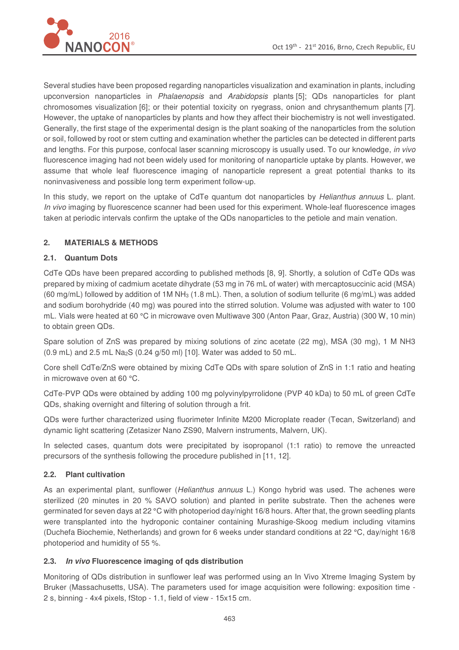

Several studies have been proposed regarding nanoparticles visualization and examination in plants, including upconversion nanoparticles in *Phalaenopsis* and *Arabidopsis* plants [5]; QDs nanoparticles for plant chromosomes visualization [6]; or their potential toxicity on ryegrass, onion and chrysanthemum plants [7]. However, the uptake of nanoparticles by plants and how they affect their biochemistry is not well investigated. Generally, the first stage of the experimental design is the plant soaking of the nanoparticles from the solution or soil, followed by root or stem cutting and examination whether the particles can be detected in different parts and lengths. For this purpose, confocal laser scanning microscopy is usually used. To our knowledge, *in vivo* fluorescence imaging had not been widely used for monitoring of nanoparticle uptake by plants. However, we assume that whole leaf fluorescence imaging of nanoparticle represent a great potential thanks to its noninvasiveness and possible long term experiment follow-up.

In this study, we report on the uptake of CdTe quantum dot nanoparticles by *Helianthus annuus* L. plant. *In vivo* imaging by fluorescence scanner had been used for this experiment. Whole-leaf fluorescence images taken at periodic intervals confirm the uptake of the QDs nanoparticles to the petiole and main venation.

# **2. MATERIALS & METHODS**

## **2.1. Quantum Dots**

CdTe QDs have been prepared according to published methods [8, 9]. Shortly, a solution of CdTe QDs was prepared by mixing of cadmium acetate dihydrate (53 mg in 76 mL of water) with mercaptosuccinic acid (MSA) (60 mg/mL) followed by addition of 1M NH3 (1.8 mL). Then, a solution of sodium tellurite (6 mg/mL) was added and sodium borohydride (40 mg) was poured into the stirred solution. Volume was adjusted with water to 100 mL. Vials were heated at 60 °C in microwave oven Multiwave 300 (Anton Paar, Graz, Austria) (300 W, 10 min) to obtain green QDs.

Spare solution of ZnS was prepared by mixing solutions of zinc acetate (22 mg), MSA (30 mg), 1 M NH3 (0.9 mL) and 2.5 mL Na2S (0.24 g/50 ml) [10]. Water was added to 50 mL.

Core shell CdTe/ZnS were obtained by mixing CdTe QDs with spare solution of ZnS in 1:1 ratio and heating in microwave oven at 60 °C.

CdTe-PVP QDs were obtained by adding 100 mg polyvinylpyrrolidone (PVP 40 kDa) to 50 mL of green CdTe QDs, shaking overnight and filtering of solution through a frit.

QDs were further characterized using fluorimeter Infinite M200 Microplate reader (Tecan, Switzerland) and dynamic light scattering (Zetasizer Nano ZS90, Malvern instruments, Malvern, UK).

In selected cases, quantum dots were precipitated by isopropanol (1:1 ratio) to remove the unreacted precursors of the synthesis following the procedure published in [11, 12].

## **2.2. Plant cultivation**

As an experimental plant, sunflower (*Helianthus annuus* L.) Kongo hybrid was used. The achenes were sterilized (20 minutes in 20 % SAVO solution) and planted in perlite substrate. Then the achenes were germinated for seven days at 22 °C with photoperiod day/night 16/8 hours. After that, the grown seedling plants were transplanted into the hydroponic container containing Murashige-Skoog medium including vitamins (Duchefa Biochemie, Netherlands) and grown for 6 weeks under standard conditions at 22 °C, day/night 16/8 photoperiod and humidity of 55 %.

## **2.3. In vivo Fluorescence imaging of qds distribution**

Monitoring of QDs distribution in sunflower leaf was performed using an In Vivo Xtreme Imaging System by Bruker (Massachusetts, USA). The parameters used for image acquisition were following: exposition time - 2 s, binning - 4x4 pixels, fStop - 1.1, field of view - 15x15 cm.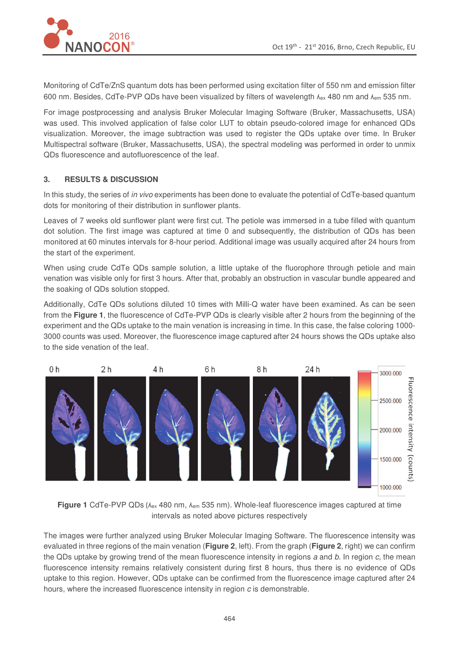

Monitoring of CdTe/ZnS quantum dots has been performed using excitation filter of 550 nm and emission filter 600 nm. Besides, CdTe-PVP QDs have been visualized by filters of wavelength  $\lambda_{ex}$  480 nm and  $\lambda_{em}$  535 nm.

For image postprocessing and analysis Bruker Molecular Imaging Software (Bruker, Massachusetts, USA) was used. This involved application of false color LUT to obtain pseudo-colored image for enhanced QDs visualization. Moreover, the image subtraction was used to register the QDs uptake over time. In Bruker Multispectral software (Bruker, Massachusetts, USA), the spectral modeling was performed in order to unmix QDs fluorescence and autofluorescence of the leaf.

#### **3. RESULTS & DISCUSSION**

In this study, the series of *in vivo* experiments has been done to evaluate the potential of CdTe-based quantum dots for monitoring of their distribution in sunflower plants.

Leaves of 7 weeks old sunflower plant were first cut. The petiole was immersed in a tube filled with quantum dot solution. The first image was captured at time 0 and subsequently, the distribution of QDs has been monitored at 60 minutes intervals for 8-hour period. Additional image was usually acquired after 24 hours from the start of the experiment.

When using crude CdTe QDs sample solution, a little uptake of the fluorophore through petiole and main venation was visible only for first 3 hours. After that, probably an obstruction in vascular bundle appeared and the soaking of QDs solution stopped.

Additionally, CdTe QDs solutions diluted 10 times with Milli-Q water have been examined. As can be seen from the **Figure 1**, the fluorescence of CdTe-PVP QDs is clearly visible after 2 hours from the beginning of the experiment and the QDs uptake to the main venation is increasing in time. In this case, the false coloring 1000- 3000 counts was used. Moreover, the fluorescence image captured after 24 hours shows the QDs uptake also to the side venation of the leaf.



Figure 1 CdTe-PVP QDs (A<sub>ex</sub> 480 nm, A<sub>em</sub> 535 nm). Whole-leaf fluorescence images captured at time intervals as noted above pictures respectively

The images were further analyzed using Bruker Molecular Imaging Software. The fluorescence intensity was evaluated in three regions of the main venation (**Figure 2**, left). From the graph (**Figure 2**, right) we can confirm the QDs uptake by growing trend of the mean fluorescence intensity in regions *a* and *b*. In region *c*, the mean fluorescence intensity remains relatively consistent during first 8 hours, thus there is no evidence of QDs uptake to this region. However, QDs uptake can be confirmed from the fluorescence image captured after 24 hours, where the increased fluorescence intensity in region *c* is demonstrable.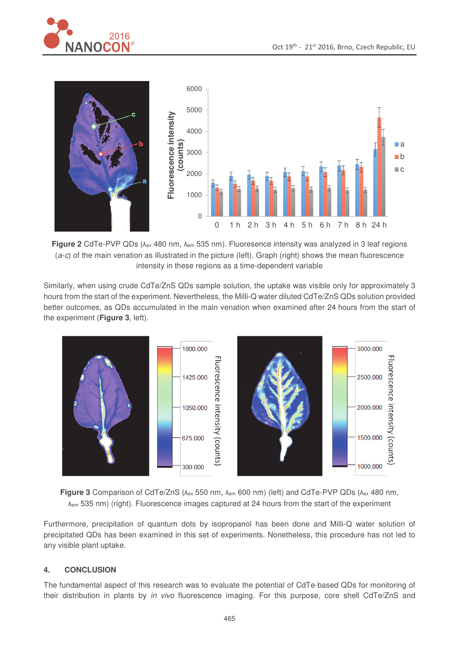



Figure 2 CdTe-PVP QDs ( $\lambda_{ex}$  480 nm,  $\lambda_{em}$  535 nm). Fluoresence intensity was analyzed in 3 leaf regions (*a*-*c*) of the main venation as illustrated in the picture (left). Graph (right) shows the mean fluorescence intensity in these regions as a time-dependent variable

Similarly, when using crude CdTe/ZnS QDs sample solution, the uptake was visible only for approximately 3 hours from the start of the experiment. Nevertheless, the Milli-Q water diluted CdTe/ZnS QDs solution provided better outcomes, as QDs accumulated in the main venation when examined after 24 hours from the start of the experiment (**Figure 3**, left).





Furthermore, precipitation of quantum dots by isopropanol has been done and Milli-Q water solution of precipitated QDs has been examined in this set of experiments. Nonetheless, this procedure has not led to any visible plant uptake.

## **4. CONCLUSION**

The fundamental aspect of this research was to evaluate the potential of CdTe-based QDs for monitoring of their distribution in plants by *in vivo* fluorescence imaging. For this purpose, core shell CdTe/ZnS and